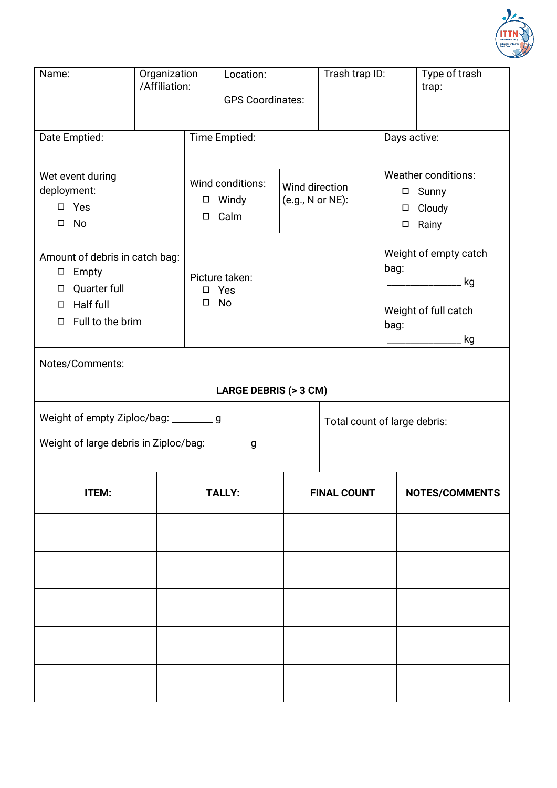

| Name:                                                                                                                       | Organization<br>/Affiliation: |                                                       | Location:<br><b>GPS Coordinates:</b> |                                    | Trash trap ID: |                                                                              | Type of trash<br>trap:                                    |  |  |  |
|-----------------------------------------------------------------------------------------------------------------------------|-------------------------------|-------------------------------------------------------|--------------------------------------|------------------------------------|----------------|------------------------------------------------------------------------------|-----------------------------------------------------------|--|--|--|
| Date Emptied:                                                                                                               |                               | Time Emptied:                                         |                                      |                                    | Days active:   |                                                                              |                                                           |  |  |  |
| Wet event during<br>deployment:<br>$\square$ Yes<br>No<br>$\Box$                                                            |                               | Wind conditions:<br>Windy<br>$\Box$<br>Calm<br>$\Box$ |                                      | Wind direction<br>(e.g., N or NE): |                | <b>Weather conditions:</b><br>□ Sunny<br>Cloudy<br>$\Box$<br>Rainy<br>$\Box$ |                                                           |  |  |  |
| Amount of debris in catch bag:<br>Empty<br>$\Box$<br>Quarter full<br>□<br>Half full<br>$\Box$<br>Full to the brim<br>$\Box$ |                               | Picture taken:<br>□ Yes<br>$\square$ No               |                                      |                                    | bag:<br>bag:   |                                                                              | Weight of empty catch<br>kg<br>Weight of full catch<br>kg |  |  |  |
| Notes/Comments:                                                                                                             |                               |                                                       |                                      |                                    |                |                                                                              |                                                           |  |  |  |
| <b>LARGE DEBRIS (&gt; 3 CM)</b>                                                                                             |                               |                                                       |                                      |                                    |                |                                                                              |                                                           |  |  |  |
| Weight of empty Ziploc/bag: __________ g                                                                                    |                               |                                                       |                                      | Total count of large debris:       |                |                                                                              |                                                           |  |  |  |
| Weight of large debris in Ziploc/bag: _________ g                                                                           |                               |                                                       |                                      |                                    |                |                                                                              |                                                           |  |  |  |
| ITEM:                                                                                                                       |                               | <b>TALLY:</b>                                         |                                      | <b>FINAL COUNT</b>                 |                |                                                                              | <b>NOTES/COMMENTS</b>                                     |  |  |  |
|                                                                                                                             |                               |                                                       |                                      |                                    |                |                                                                              |                                                           |  |  |  |
|                                                                                                                             |                               |                                                       |                                      |                                    |                |                                                                              |                                                           |  |  |  |
|                                                                                                                             |                               |                                                       |                                      |                                    |                |                                                                              |                                                           |  |  |  |
|                                                                                                                             |                               |                                                       |                                      |                                    |                |                                                                              |                                                           |  |  |  |
|                                                                                                                             |                               |                                                       |                                      |                                    |                |                                                                              |                                                           |  |  |  |